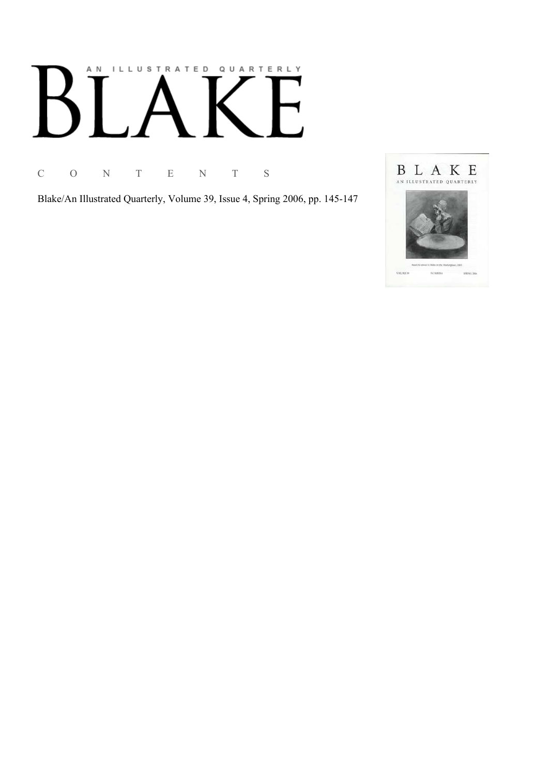# AN ILLUSTRATED QUARTERLY

C O N T E N T S

Blake/An Illustrated Quarterly, Volume 39, Issue 4, Spring 2006, pp. 145-147

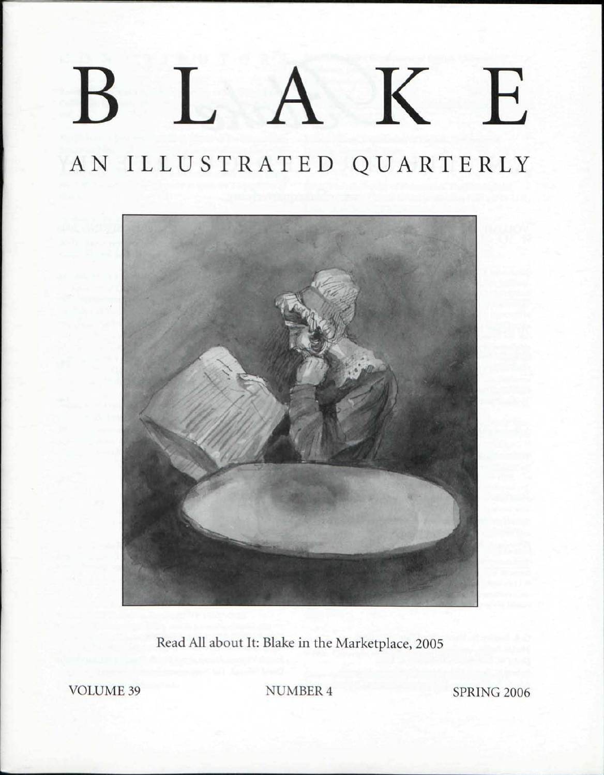### $\Gamma$  $\bf K$ E B

AN ILLUSTRATED QUARTERLY



Read All about It: Blake in the Marketplace, 2005

VOLUME 39 NUMBER 4 SPRING 2006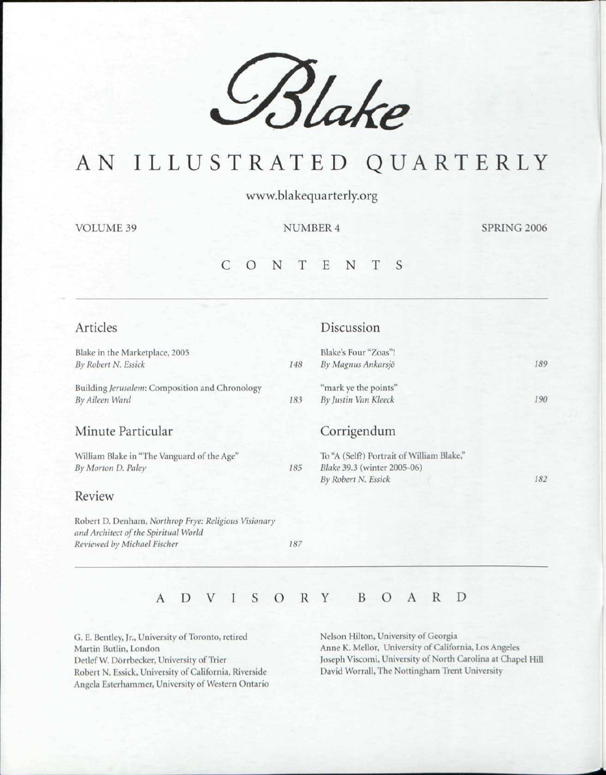

## AN ILLUSTRATED QUARTERLY

www.blakequarterly.org

VOLUME 39 NUMBER 4 SPRING 2006

#### CONTENT S

| Articles                                                                                     |     | Discussion                                         |     |
|----------------------------------------------------------------------------------------------|-----|----------------------------------------------------|-----|
| Blake in the Marketplace, 2005                                                               |     | Blake's Four "Zoas"!                               |     |
| By Robert N. Essick                                                                          | 148 | By Magnus Ankarsjö                                 | 189 |
| Building Jerusalem: Composition and Chronology                                               |     | "mark ye the points"                               |     |
| By Aileen Ward                                                                               | 183 | By Justin Van Kleeck                               | 190 |
| Minute Particular                                                                            |     | Corrigendum                                        |     |
| William Blake in "The Vanguard of the Age"                                                   |     | To "A (Self?) Portrait of William Blake,"          |     |
| By Morton D. Paley                                                                           | 185 | Blake 39.3 (winter 2005-06)<br>By Robert N. Essick | 182 |
| Review                                                                                       |     |                                                    |     |
| Robert D. Denham, Northrop Frye: Religious Visionary<br>and Architect of the Spiritual World |     |                                                    |     |
| Reviewed by Michael Fischer                                                                  | 187 |                                                    |     |

#### ADVISOR Y BOAR D

G. E. Bentley, Jr., University of Toronto, retired Martin Butlin, London Detlef W. Dorrbecker, University of Trier Robert N. Essick, University of California, Riverside Angela Ksterhammer, University of Western Ontario Nelson Milton, University of Georgia Anne K. Mellor, University of California, Los Angeles Joseph Viscomi, University of North Carolina at Chapel Hill David Worrall, The Nottingham Trent University